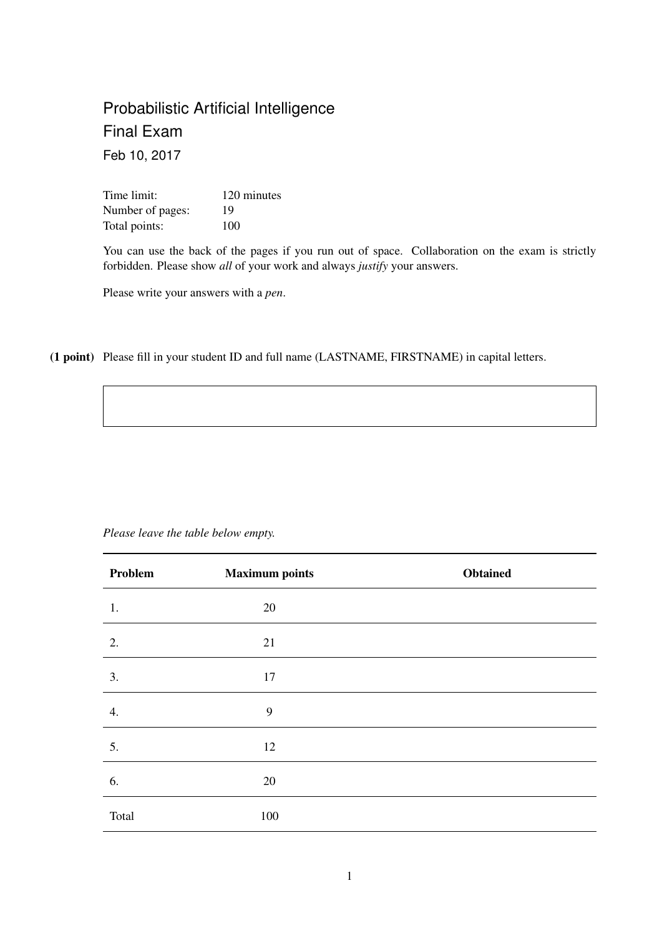# Probabilistic Artificial Intelligence Final Exam Feb 10, 2017

Time limit: 120 minutes Number of pages: 19 Total points: 100

You can use the back of the pages if you run out of space. Collaboration on the exam is strictly forbidden. Please show *all* of your work and always *justify* your answers.

Please write your answers with a *pen*.

(1 point) Please fill in your student ID and full name (LASTNAME, FIRSTNAME) in capital letters.

| Problem | <b>Maximum points</b> | <b>Obtained</b> |
|---------|-----------------------|-----------------|
| 1.      | 20                    |                 |
| 2.      | 21                    |                 |
| 3.      | 17                    |                 |
| 4.      | 9                     |                 |
| 5.      | 12                    |                 |
| 6.      | 20                    |                 |
| Total   | 100                   |                 |

*Please leave the table below empty.*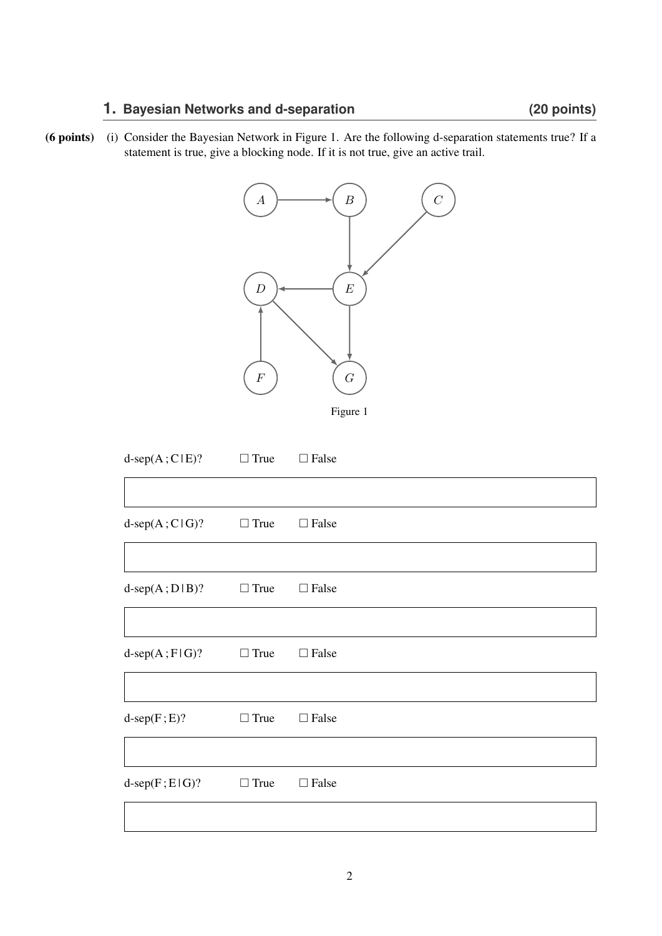## **1. Bayesian Networks and d-separation (20 points)**

(6 points) (i) Consider the Bayesian Network in Figure 1. Are the following d-separation statements true? If a statement is true, give a blocking node. If it is not true, give an active trail.



| $d$ -sep $(A;C E)?$     | $\Box$ True | $\Box$ False |
|-------------------------|-------------|--------------|
|                         |             |              |
| $d$ -sep $(A;C G)?$     | $\Box$ True | $\Box$ False |
|                         |             |              |
| $d$ -sep $(A;D B)$ ?    | $\Box$ True | $\Box$ False |
|                         |             |              |
| $d$ -sep $(A; F   G)$ ? | $\Box$ True | $\Box$ False |
|                         |             |              |
| $d$ -sep $(F; E)$ ?     | $\Box$ True | $\Box$ False |
|                         |             |              |
| $d$ -sep $(F; E   G)$ ? | $\Box$ True | $\Box$ False |
|                         |             |              |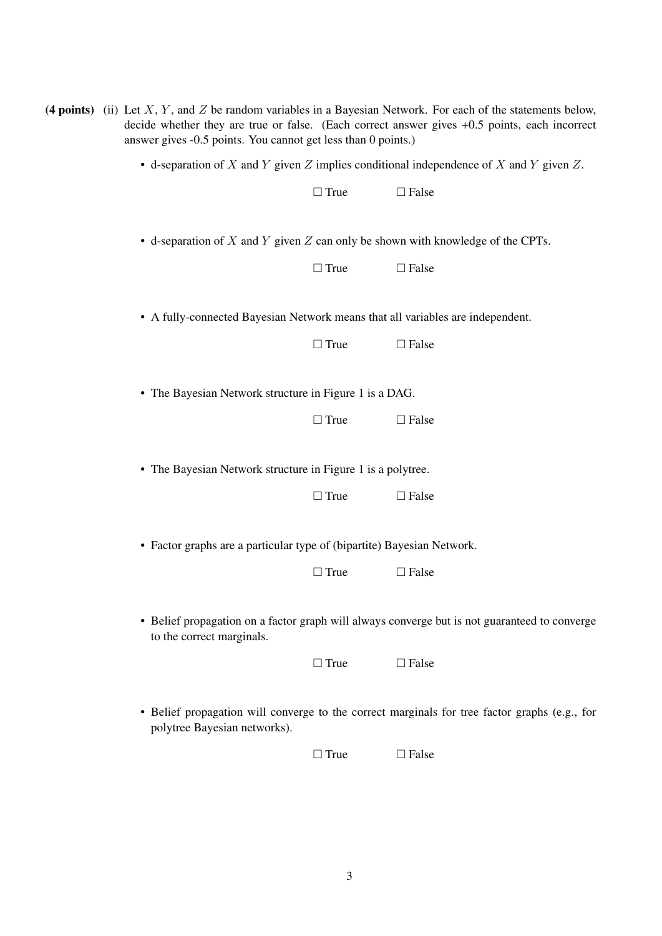| (4 points) (ii) Let $X, Y$ , and $Z$ be random variables in a Bayesian Network. For each of the statements below,<br>decide whether they are true or false. (Each correct answer gives +0.5 points, each incorrect<br>answer gives -0.5 points. You cannot get less than 0 points.) |             |                                                                                               |  |  |
|-------------------------------------------------------------------------------------------------------------------------------------------------------------------------------------------------------------------------------------------------------------------------------------|-------------|-----------------------------------------------------------------------------------------------|--|--|
| • d-separation of X and Y given Z implies conditional independence of X and Y given Z.                                                                                                                                                                                              |             |                                                                                               |  |  |
|                                                                                                                                                                                                                                                                                     | $\Box$ True | $\Box$ False                                                                                  |  |  |
| • d-separation of $X$ and $Y$ given $Z$ can only be shown with knowledge of the CPTs.                                                                                                                                                                                               |             |                                                                                               |  |  |
|                                                                                                                                                                                                                                                                                     | $\Box$ True | $\Box$ False                                                                                  |  |  |
|                                                                                                                                                                                                                                                                                     |             | • A fully-connected Bayesian Network means that all variables are independent.                |  |  |
|                                                                                                                                                                                                                                                                                     | $\Box$ True | $\Box$ False                                                                                  |  |  |
| • The Bayesian Network structure in Figure 1 is a DAG.                                                                                                                                                                                                                              |             |                                                                                               |  |  |
|                                                                                                                                                                                                                                                                                     | $\Box$ True | $\Box$ False                                                                                  |  |  |
| • The Bayesian Network structure in Figure 1 is a polytree.                                                                                                                                                                                                                         |             |                                                                                               |  |  |
|                                                                                                                                                                                                                                                                                     | $\Box$ True | $\Box$ False                                                                                  |  |  |
| • Factor graphs are a particular type of (bipartite) Bayesian Network.                                                                                                                                                                                                              |             |                                                                                               |  |  |
|                                                                                                                                                                                                                                                                                     | $\Box$ True | $\Box$ False                                                                                  |  |  |
| to the correct marginals.                                                                                                                                                                                                                                                           |             | • Belief propagation on a factor graph will always converge but is not guaranteed to converge |  |  |
|                                                                                                                                                                                                                                                                                     | $\Box$ True | $\Box$ False                                                                                  |  |  |
| polytree Bayesian networks).                                                                                                                                                                                                                                                        |             | • Belief propagation will converge to the correct marginals for tree factor graphs (e.g., for |  |  |
|                                                                                                                                                                                                                                                                                     | $\Box$ True | $\Box$ False                                                                                  |  |  |
|                                                                                                                                                                                                                                                                                     |             |                                                                                               |  |  |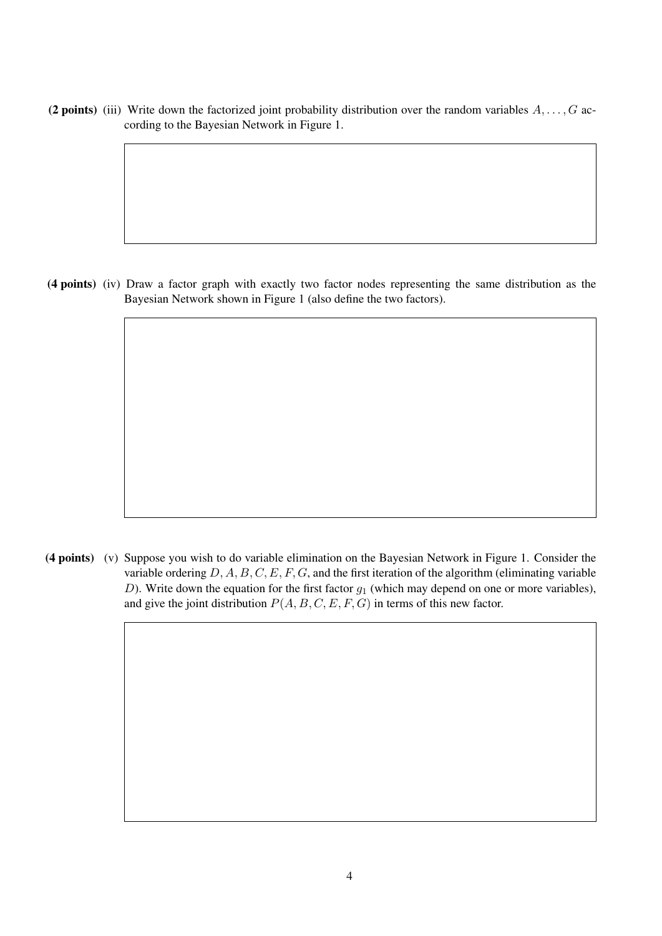(2 points) (iii) Write down the factorized joint probability distribution over the random variables  $A, \ldots, G$  according to the Bayesian Network in Figure 1.

(4 points) (iv) Draw a factor graph with exactly two factor nodes representing the same distribution as the Bayesian Network shown in Figure 1 (also define the two factors).

(4 points) (v) Suppose you wish to do variable elimination on the Bayesian Network in Figure 1. Consider the variable ordering  $D, A, B, C, E, F, G$ , and the first iteration of the algorithm (eliminating variable D). Write down the equation for the first factor  $g_1$  (which may depend on one or more variables), and give the joint distribution  $P(A, B, C, E, F, G)$  in terms of this new factor.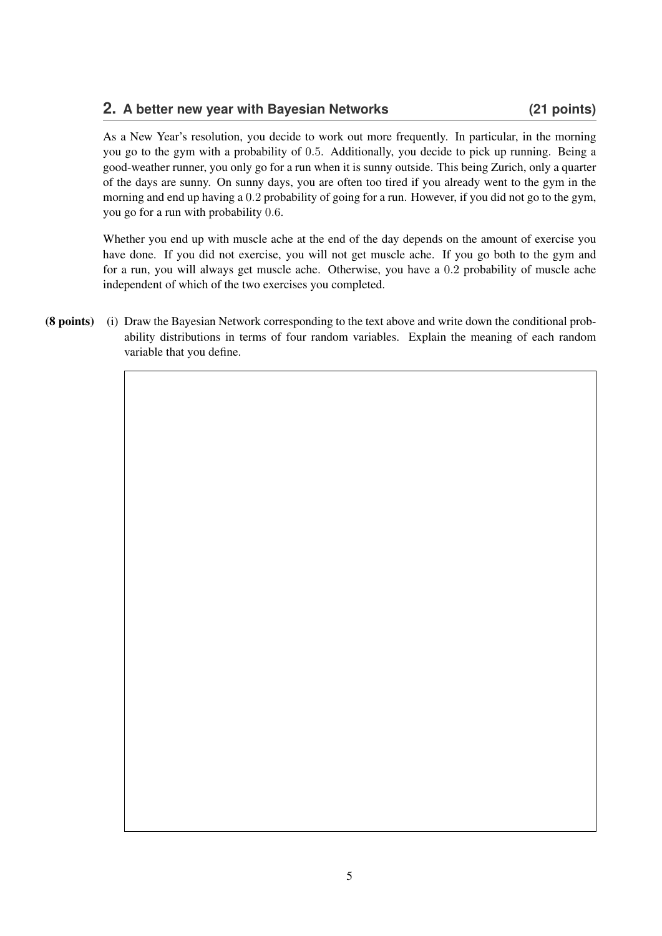#### **2. A better new year with Bayesian Networks (21 points)**

As a New Year's resolution, you decide to work out more frequently. In particular, in the morning you go to the gym with a probability of 0.5. Additionally, you decide to pick up running. Being a good-weather runner, you only go for a run when it is sunny outside. This being Zurich, only a quarter of the days are sunny. On sunny days, you are often too tired if you already went to the gym in the morning and end up having a 0.2 probability of going for a run. However, if you did not go to the gym, you go for a run with probability 0.6.

Whether you end up with muscle ache at the end of the day depends on the amount of exercise you have done. If you did not exercise, you will not get muscle ache. If you go both to the gym and for a run, you will always get muscle ache. Otherwise, you have a 0.2 probability of muscle ache independent of which of the two exercises you completed.

(8 points) (i) Draw the Bayesian Network corresponding to the text above and write down the conditional probability distributions in terms of four random variables. Explain the meaning of each random variable that you define.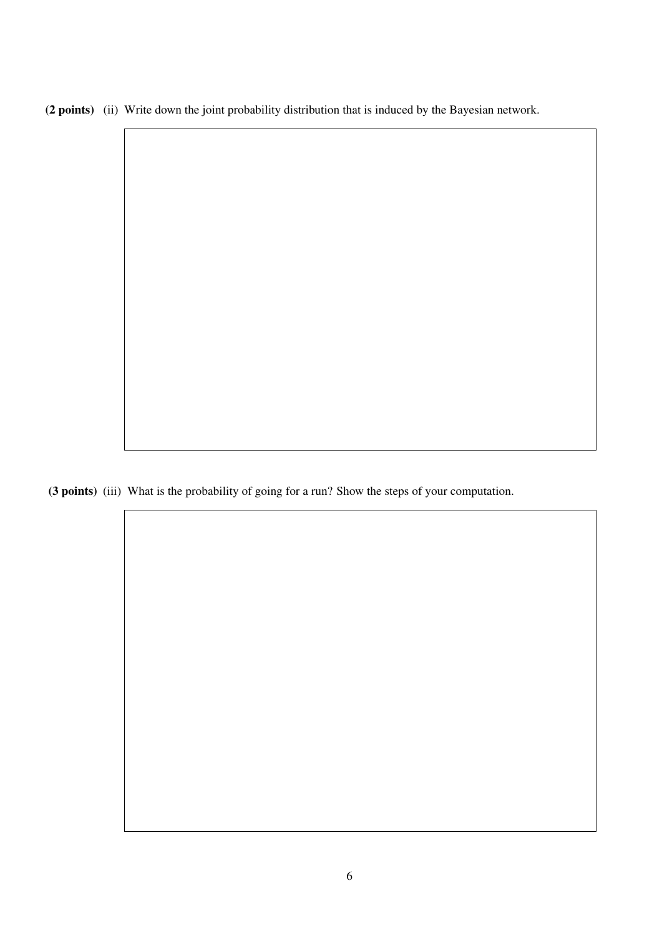(2 points) (ii) Write down the joint probability distribution that is induced by the Bayesian network.

(3 points) (iii) What is the probability of going for a run? Show the steps of your computation.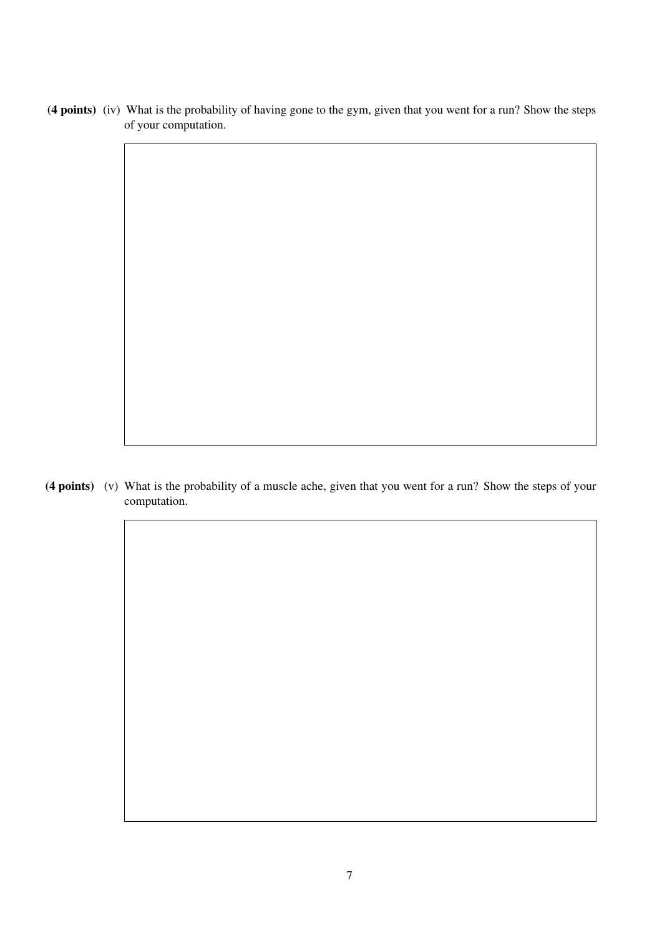(4 points) (iv) What is the probability of having gone to the gym, given that you went for a run? Show the steps of your computation.

(4 points) (v) What is the probability of a muscle ache, given that you went for a run? Show the steps of your computation.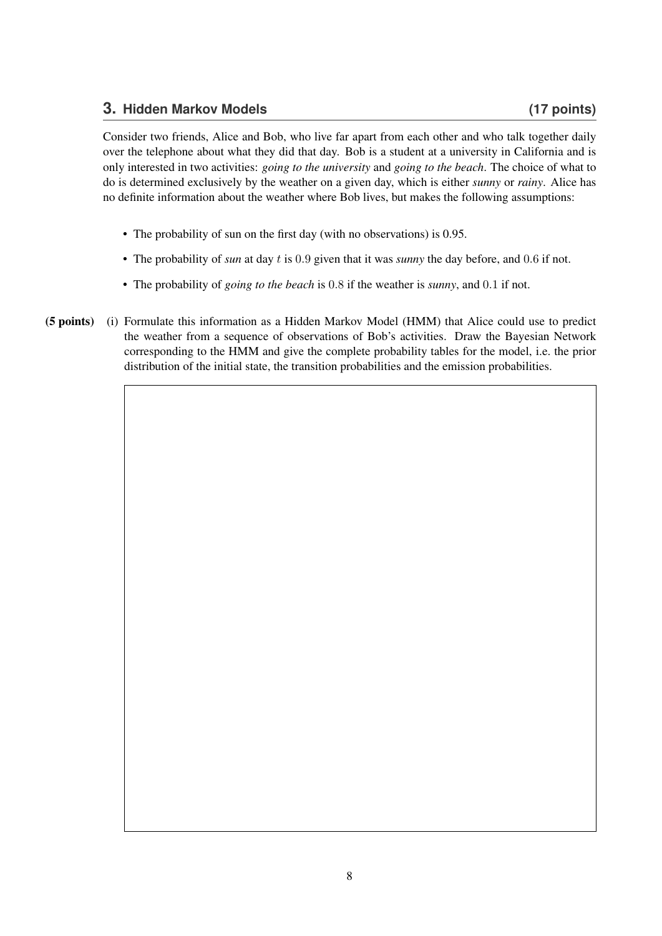### **3. Hidden Markov Models (17 points)**

Consider two friends, Alice and Bob, who live far apart from each other and who talk together daily over the telephone about what they did that day. Bob is a student at a university in California and is only interested in two activities: *going to the university* and *going to the beach*. The choice of what to do is determined exclusively by the weather on a given day, which is either *sunny* or *rainy*. Alice has no definite information about the weather where Bob lives, but makes the following assumptions:

- The probability of sun on the first day (with no observations) is 0.95.
- The probability of *sun* at day t is 0.9 given that it was *sunny* the day before, and 0.6 if not.
- The probability of *going to the beach* is 0.8 if the weather is *sunny*, and 0.1 if not.
- (5 points) (i) Formulate this information as a Hidden Markov Model (HMM) that Alice could use to predict the weather from a sequence of observations of Bob's activities. Draw the Bayesian Network corresponding to the HMM and give the complete probability tables for the model, i.e. the prior distribution of the initial state, the transition probabilities and the emission probabilities.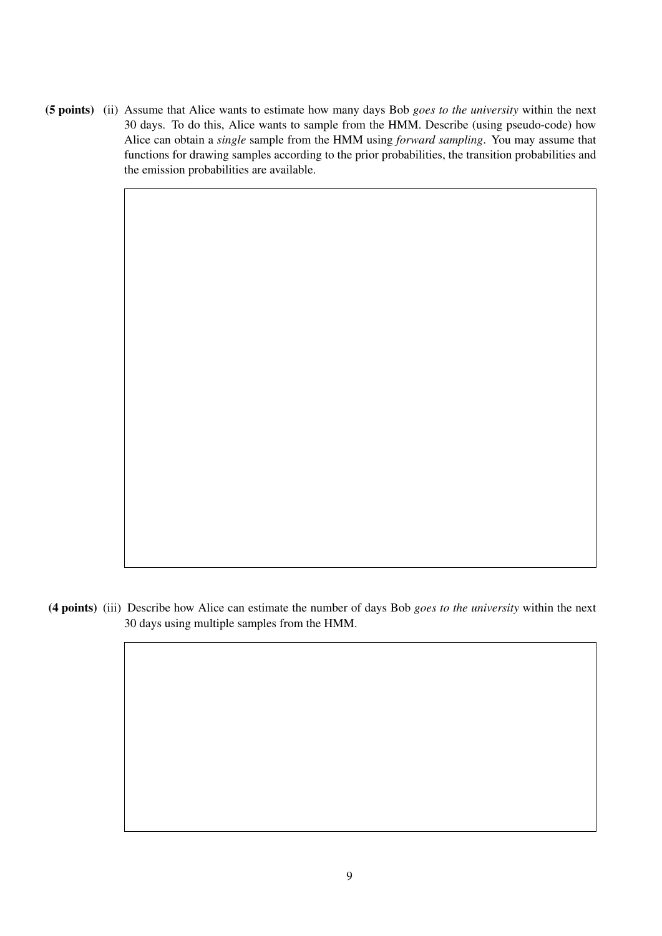(5 points) (ii) Assume that Alice wants to estimate how many days Bob *goes to the university* within the next 30 days. To do this, Alice wants to sample from the HMM. Describe (using pseudo-code) how Alice can obtain a *single* sample from the HMM using *forward sampling*. You may assume that functions for drawing samples according to the prior probabilities, the transition probabilities and the emission probabilities are available.

(4 points) (iii) Describe how Alice can estimate the number of days Bob *goes to the university* within the next 30 days using multiple samples from the HMM.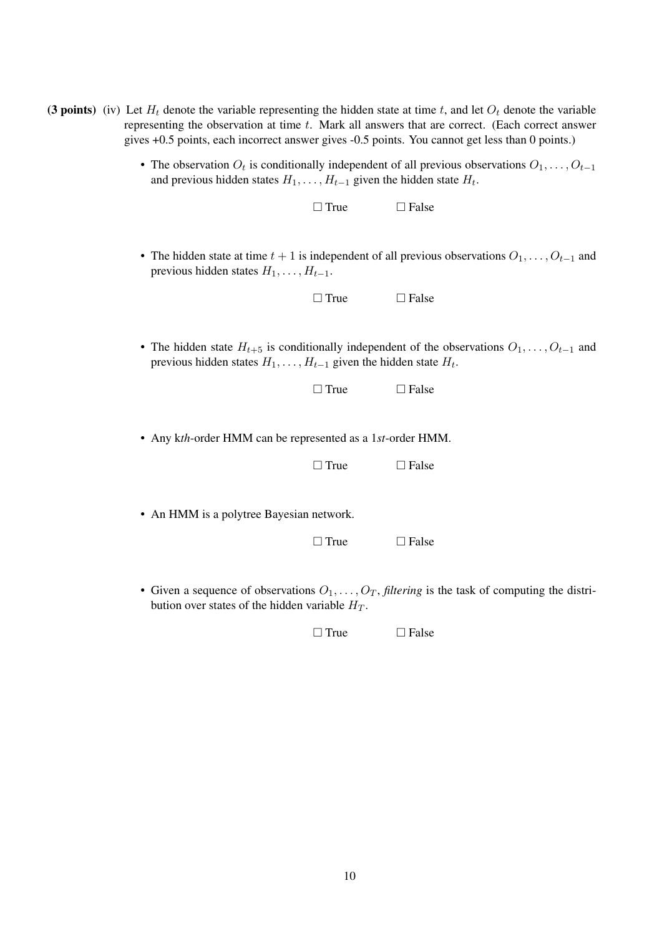| (3 points) (iv) Let $H_t$ denote the variable representing the hidden state at time t, and let $O_t$ denote the variable |  |  |  |
|--------------------------------------------------------------------------------------------------------------------------|--|--|--|
| representing the observation at time t. Mark all answers that are correct. (Each correct answer                          |  |  |  |
| gives +0.5 points, each incorrect answer gives -0.5 points. You cannot get less than 0 points.)                          |  |  |  |

• The observation  $O_t$  is conditionally independent of all previous observations  $O_1, \ldots, O_{t-1}$ and previous hidden states  $H_1, \ldots, H_{t-1}$  given the hidden state  $H_t$ .

|                                                                              | $\Box$ True | $\Box$ False                                                                                              |
|------------------------------------------------------------------------------|-------------|-----------------------------------------------------------------------------------------------------------|
| previous hidden states $H_1, \ldots, H_{t-1}$ .                              |             | • The hidden state at time $t + 1$ is independent of all previous observations $O_1, \ldots, O_{t-1}$ and |
|                                                                              | $\Box$ True | $\Box$ False                                                                                              |
| previous hidden states $H_1, \ldots, H_{t-1}$ given the hidden state $H_t$ . |             | • The hidden state $H_{t+5}$ is conditionally independent of the observations $O_1, \ldots, O_{t-1}$ and  |
|                                                                              | $\Box$ True | $\Box$ False                                                                                              |
| • Any kth-order HMM can be represented as a 1st-order HMM.                   |             |                                                                                                           |
|                                                                              | $\Box$ True | $\Box$ False                                                                                              |
| • An HMM is a polytree Bayesian network.                                     |             |                                                                                                           |
|                                                                              | $\Box$ True | $\Box$ False                                                                                              |
|                                                                              |             | • Given a sequence of observations $Q_1$ . O <sub>m</sub> filtering is the task of computing the distri-  |

Given a sequence of observations  $O_1, \ldots, O_T$ , *filtering* is the task of computing the distribution over states of the hidden variable  $H_T$ .

 $\Box$  True  $\Box$  False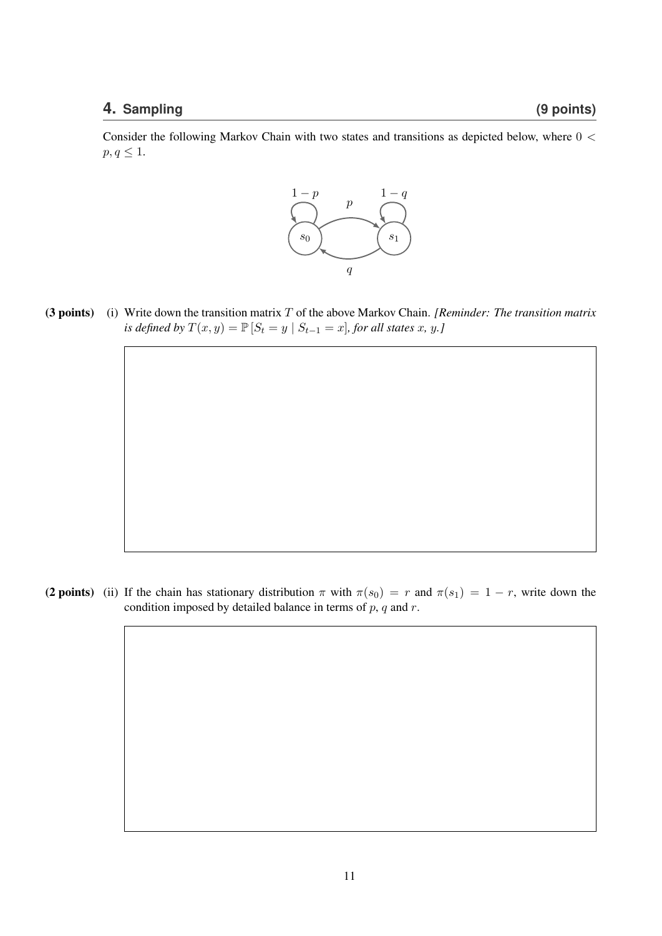Consider the following Markov Chain with two states and transitions as depicted below, where 0 <  $p, q \leq 1.$ 



(3 points) (i) Write down the transition matrix T of the above Markov Chain. *[Reminder: The transition matrix is defined by*  $T(x, y) = \mathbb{P}[S_t = y | S_{t-1} = x]$ *, for all states x, y.]* 

(2 points) (ii) If the chain has stationary distribution  $\pi$  with  $\pi(s_0) = r$  and  $\pi(s_1) = 1 - r$ , write down the condition imposed by detailed balance in terms of  $p$ ,  $q$  and  $r$ .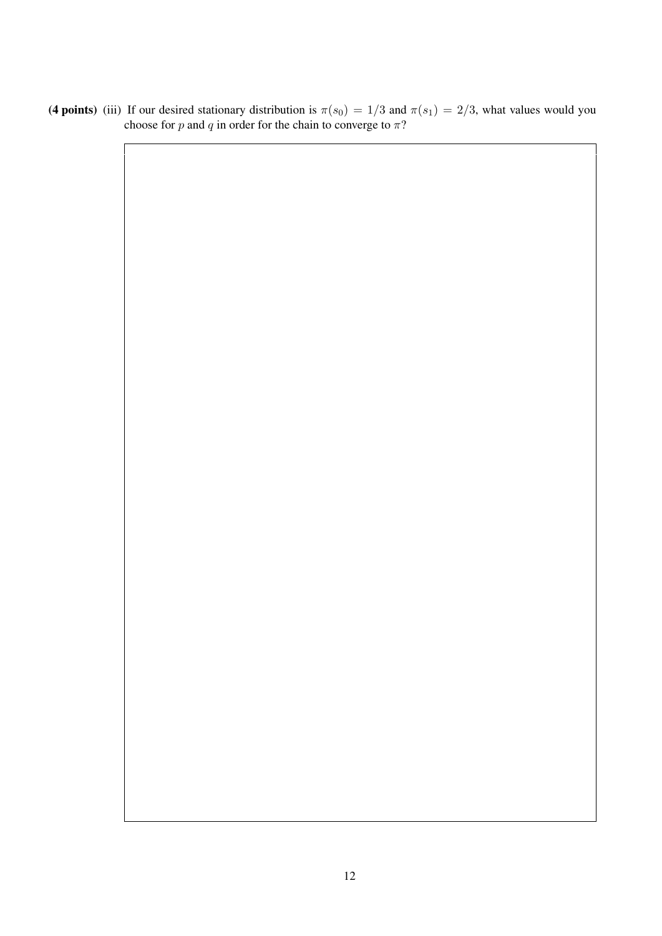(4 points) (iii) If our desired stationary distribution is  $\pi(s_0) = 1/3$  and  $\pi(s_1) = 2/3$ , what values would you choose for p and q in order for the chain to converge to  $\pi$ ?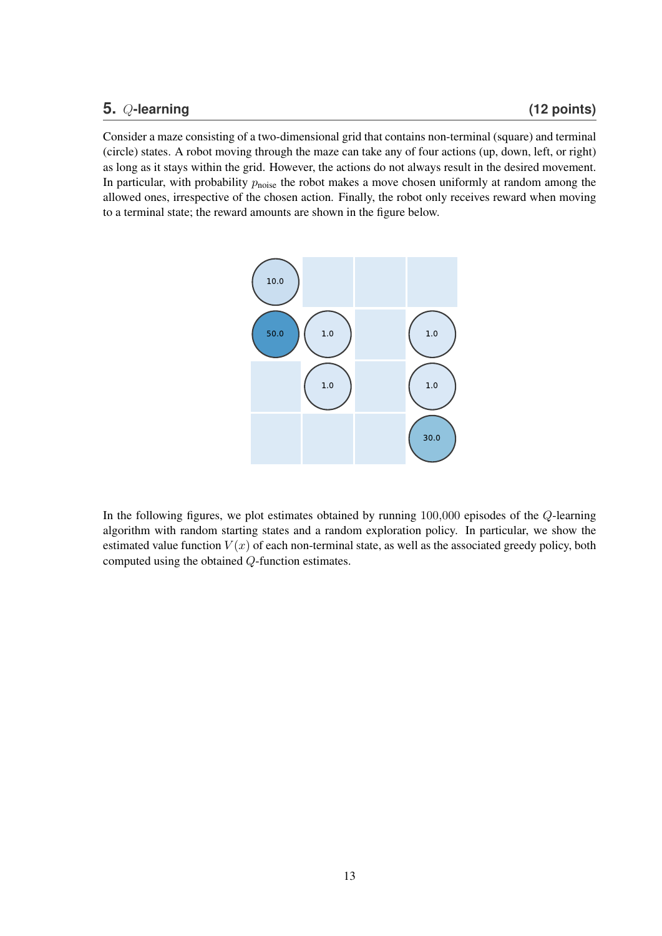#### **5.** Q**-learning (12 points)**

Consider a maze consisting of a two-dimensional grid that contains non-terminal (square) and terminal (circle) states. A robot moving through the maze can take any of four actions (up, down, left, or right) as long as it stays within the grid. However, the actions do not always result in the desired movement. In particular, with probability  $p_{noise}$  the robot makes a move chosen uniformly at random among the allowed ones, irrespective of the chosen action. Finally, the robot only receives reward when moving to a terminal state; the reward amounts are shown in the figure below.



In the following figures, we plot estimates obtained by running 100,000 episodes of the Q-learning algorithm with random starting states and a random exploration policy. In particular, we show the estimated value function  $V(x)$  of each non-terminal state, as well as the associated greedy policy, both computed using the obtained Q-function estimates.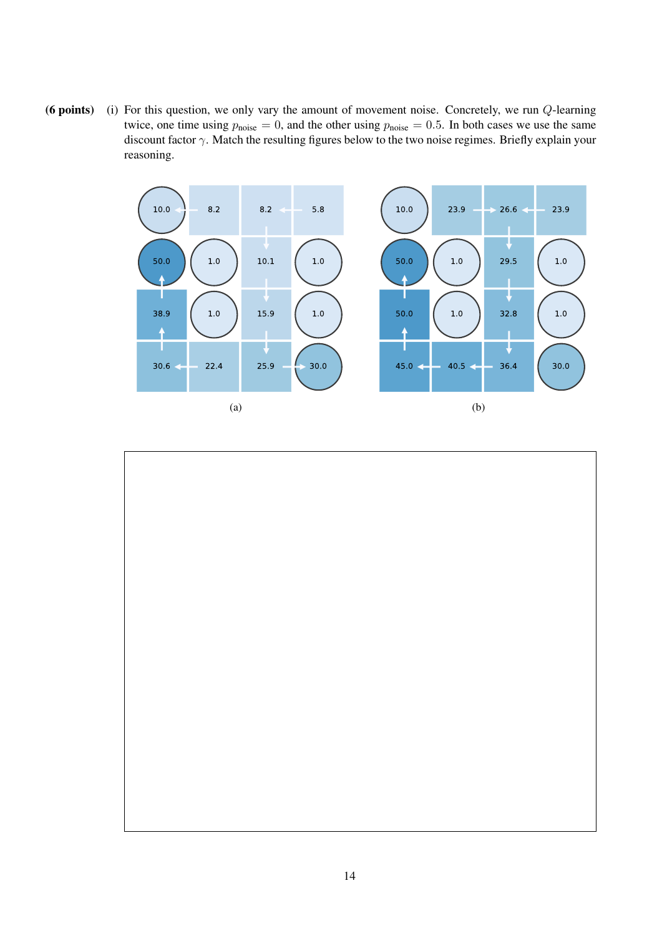(6 points) (i) For this question, we only vary the amount of movement noise. Concretely, we run  $Q$ -learning twice, one time using  $p_{noise} = 0$ , and the other using  $p_{noise} = 0.5$ . In both cases we use the same discount factor  $\gamma$ . Match the resulting figures below to the two noise regimes. Briefly explain your reasoning.



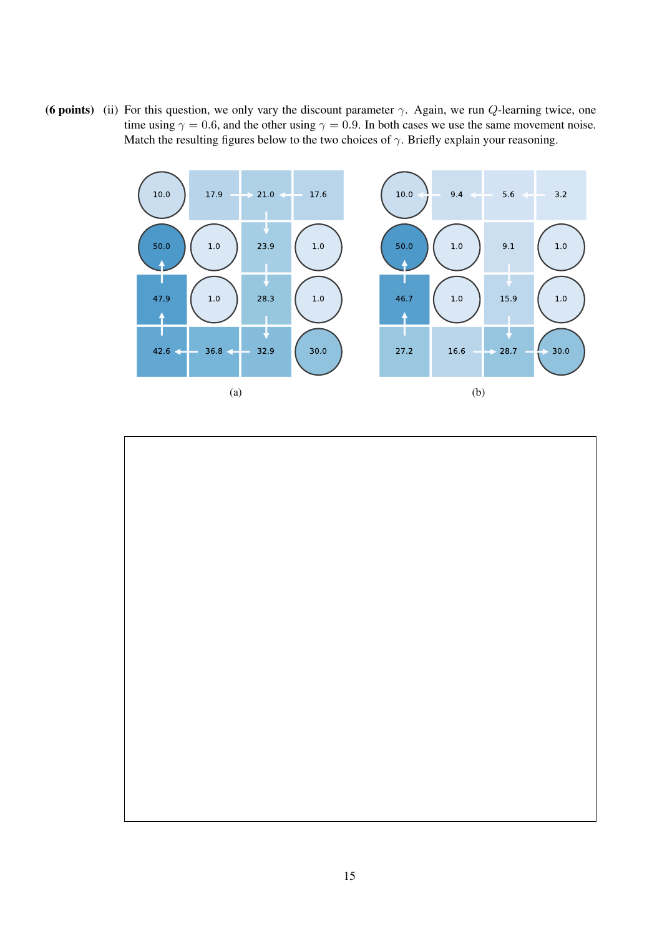(6 points) (ii) For this question, we only vary the discount parameter  $\gamma$ . Again, we run Q-learning twice, one time using  $\gamma = 0.6$ , and the other using  $\gamma = 0.9$ . In both cases we use the same movement noise. Match the resulting figures below to the two choices of  $\gamma$ . Briefly explain your reasoning.



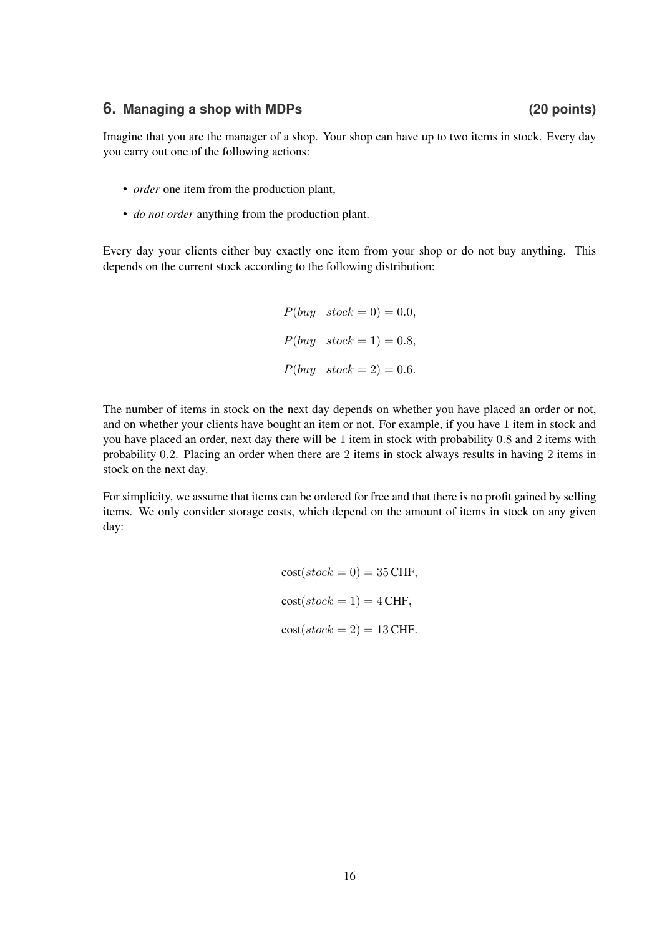Imagine that you are the manager of a shop. Your shop can have up to two items in stock. Every day you carry out one of the following actions:

- *order* one item from the production plant,
- *do not order* anything from the production plant.

Every day your clients either buy exactly one item from your shop or do not buy anything. This depends on the current stock according to the following distribution:

> $P(buu \mid stock = 0) = 0.0,$  $P(buy \mid stock = 1) = 0.8,$  $P(buy \mid stock = 2) = 0.6.$

The number of items in stock on the next day depends on whether you have placed an order or not, and on whether your clients have bought an item or not. For example, if you have 1 item in stock and you have placed an order, next day there will be 1 item in stock with probability 0.8 and 2 items with probability 0.2. Placing an order when there are 2 items in stock always results in having 2 items in stock on the next day.

For simplicity, we assume that items can be ordered for free and that there is no profit gained by selling items. We only consider storage costs, which depend on the amount of items in stock on any given day:

> $cost(\text{stock} = 0) = 35 \text{CHF},$  $cost(\mathit{stock} = 1) = 4 \text{CHF},$  $cost(state = 2) = 13 \text{CHF}.$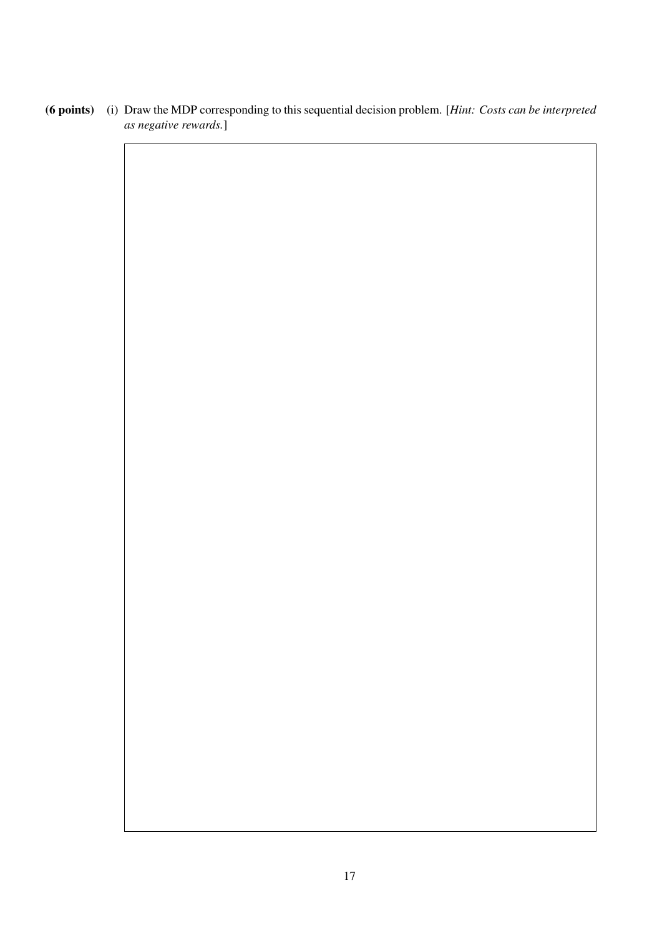(6 points) (i) Draw the MDP corresponding to this sequential decision problem. [*Hint: Costs can be interpreted as negative rewards.*]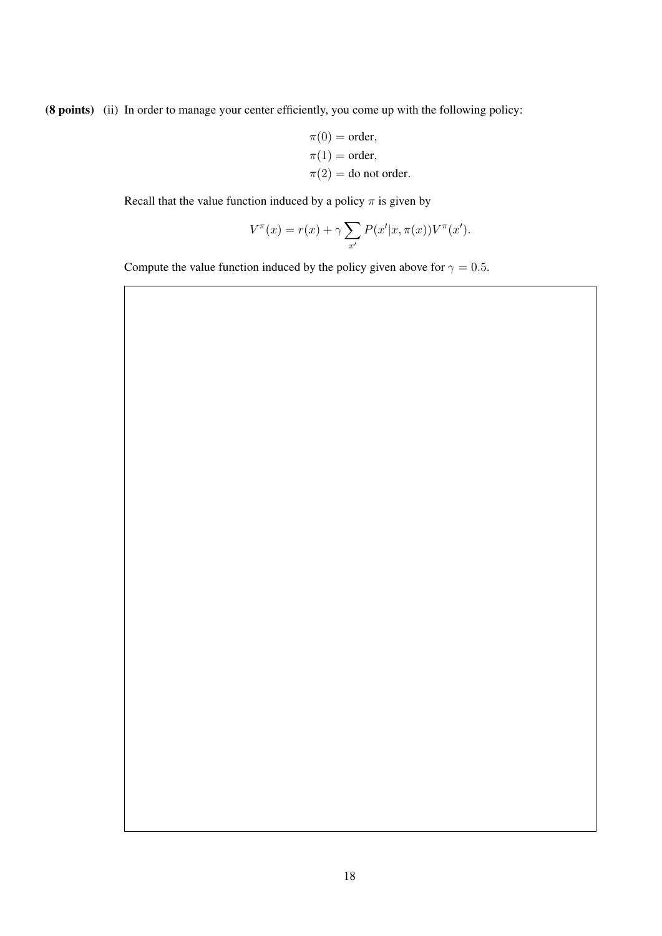(8 points) (ii) In order to manage your center efficiently, you come up with the following policy:

$$
\pi(0) = \text{order},
$$
  
\n
$$
\pi(1) = \text{order},
$$
  
\n
$$
\pi(2) = \text{do not order}.
$$

Recall that the value function induced by a policy  $\pi$  is given by

$$
V^{\pi}(x) = r(x) + \gamma \sum_{x'} P(x'|x, \pi(x)) V^{\pi}(x').
$$

Compute the value function induced by the policy given above for  $\gamma = 0.5$ .